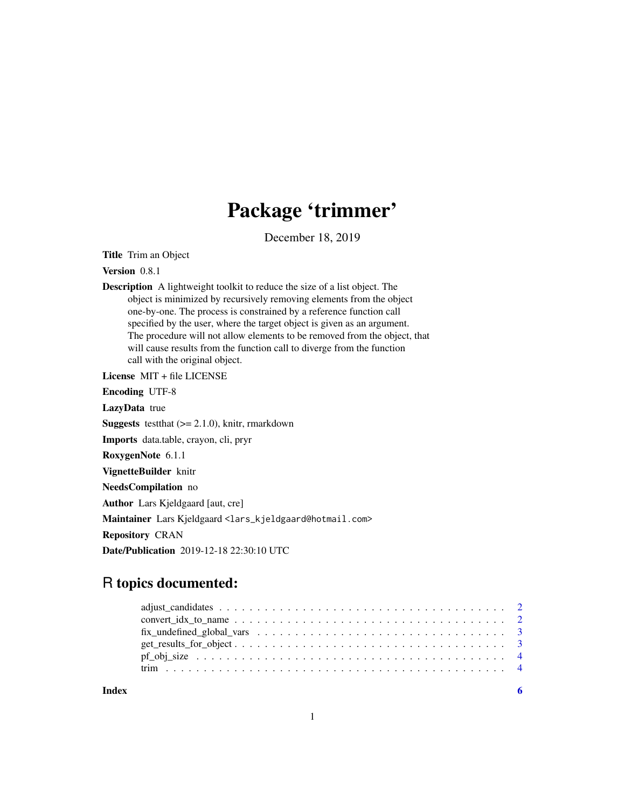# Package 'trimmer'

December 18, 2019

<span id="page-0-0"></span>Title Trim an Object

Version 0.8.1

Description A lightweight toolkit to reduce the size of a list object. The object is minimized by recursively removing elements from the object one-by-one. The process is constrained by a reference function call specified by the user, where the target object is given as an argument. The procedure will not allow elements to be removed from the object, that will cause results from the function call to diverge from the function call with the original object.

License MIT + file LICENSE

Encoding UTF-8

LazyData true

**Suggests** test that  $(>= 2.1.0)$ , knitr, rmarkdown

Imports data.table, crayon, cli, pryr

RoxygenNote 6.1.1

VignetteBuilder knitr

NeedsCompilation no

Author Lars Kjeldgaard [aut, cre]

Maintainer Lars Kjeldgaard <lars\_kjeldgaard@hotmail.com>

Repository CRAN

Date/Publication 2019-12-18 22:30:10 UTC

# R topics documented:

**Index** [6](#page-5-0) **6**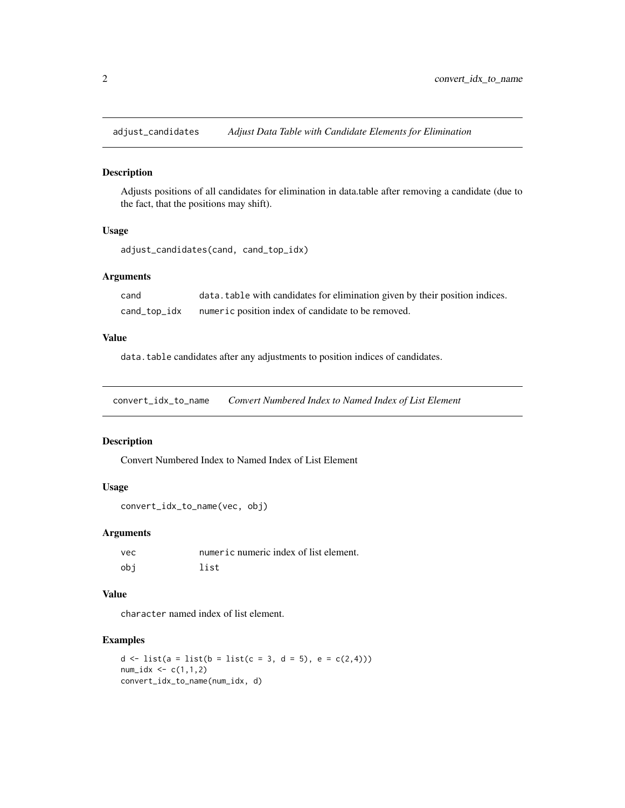<span id="page-1-0"></span>

#### Description

Adjusts positions of all candidates for elimination in data.table after removing a candidate (due to the fact, that the positions may shift).

#### Usage

```
adjust_candidates(cand, cand_top_idx)
```
# Arguments

| cand         | data. table with candidates for elimination given by their position indices. |
|--------------|------------------------------------------------------------------------------|
| cand_top_idx | numeric position index of candidate to be removed.                           |

#### Value

data.table candidates after any adjustments to position indices of candidates.

convert\_idx\_to\_name *Convert Numbered Index to Named Index of List Element*

#### Description

Convert Numbered Index to Named Index of List Element

#### Usage

```
convert_idx_to_name(vec, obj)
```
#### Arguments

| vec | numeric numeric index of list element. |
|-----|----------------------------------------|
| obi | list                                   |

# Value

character named index of list element.

# Examples

```
d \leftarrow list(a = list(b = list(c = 3, d = 5), e = c(2,4)))
num\_idx \leq c(1,1,2)convert_idx_to_name(num_idx, d)
```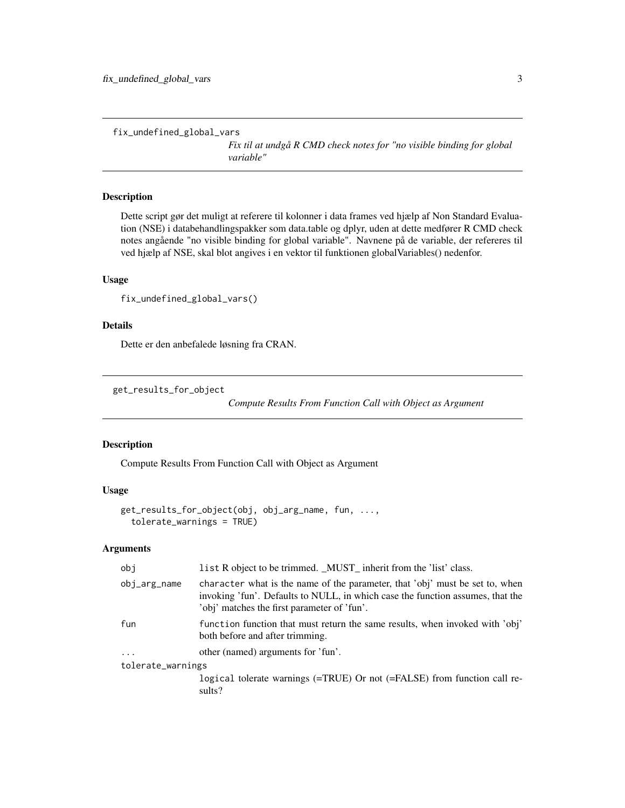```
fix_undefined_global_vars
```
*Fix til at undgå R CMD check notes for "no visible binding for global variable"*

# Description

Dette script gør det muligt at referere til kolonner i data frames ved hjælp af Non Standard Evaluation (NSE) i databehandlingspakker som data.table og dplyr, uden at dette medfører R CMD check notes angående "no visible binding for global variable". Navnene på de variable, der refereres til ved hjælp af NSE, skal blot angives i en vektor til funktionen globalVariables() nedenfor.

#### Usage

```
fix_undefined_global_vars()
```
# Details

Dette er den anbefalede løsning fra CRAN.

get\_results\_for\_object

*Compute Results From Function Call with Object as Argument*

#### Description

Compute Results From Function Call with Object as Argument

#### Usage

```
get_results_for_object(obj, obj_arg_name, fun, ...,
  tolerate_warnings = TRUE)
```
#### Arguments

| obi               | list R object to be trimmed. _MUST_ inherit from the 'list' class.                                                                                                                                            |  |
|-------------------|---------------------------------------------------------------------------------------------------------------------------------------------------------------------------------------------------------------|--|
| obj_arg_name      | character what is the name of the parameter, that 'obj' must be set to, when<br>invoking 'fun'. Defaults to NULL, in which case the function assumes, that the<br>'obj' matches the first parameter of 'fun'. |  |
| fun               | function function that must return the same results, when invoked with 'obj'<br>both before and after trimming.                                                                                               |  |
| $\ddots$          | other (named) arguments for 'fun'.                                                                                                                                                                            |  |
| tolerate_warnings |                                                                                                                                                                                                               |  |
|                   | logical tolerate warnings $(=\text{TRUE})$ Or not $(=\text{FALSE})$ from function call re-<br>sults?                                                                                                          |  |
|                   |                                                                                                                                                                                                               |  |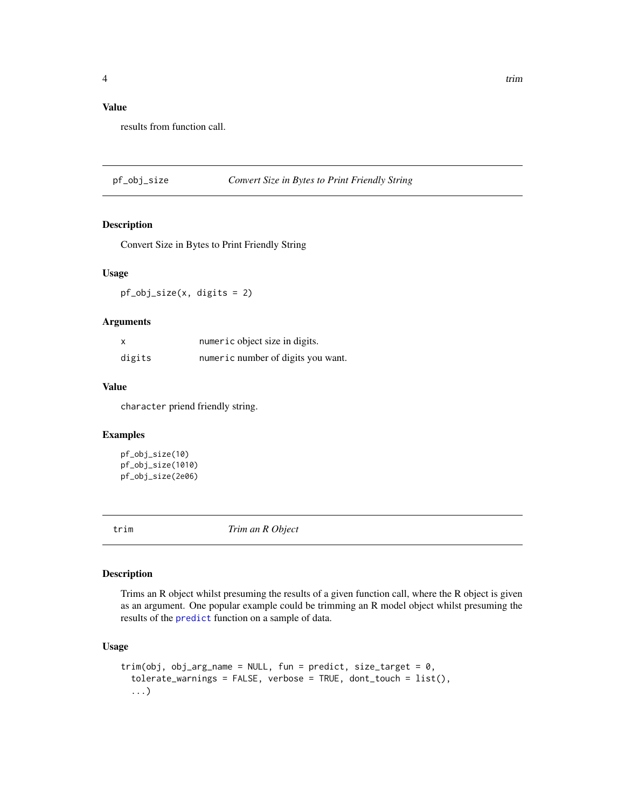# <span id="page-3-0"></span>Value

results from function call.

pf\_obj\_size *Convert Size in Bytes to Print Friendly String*

#### Description

Convert Size in Bytes to Print Friendly String

#### Usage

pf\_obj\_size(x, digits = 2)

#### Arguments

| x      | numeric object size in digits.     |
|--------|------------------------------------|
| digits | numeric number of digits you want. |

#### Value

character priend friendly string.

#### Examples

```
pf_obj_size(10)
pf_obj_size(1010)
pf_obj_size(2e06)
```
trim *Trim an R Object*

#### Description

Trims an R object whilst presuming the results of a given function call, where the R object is given as an argument. One popular example could be trimming an R model object whilst presuming the results of the [predict](#page-0-0) function on a sample of data.

#### Usage

```
trim(obj, obj_{arg_name} = NULL, fun = predict, size_{target} = 0,tolerate_warnings = FALSE, verbose = TRUE, dont_touch = list(),
  ...)
```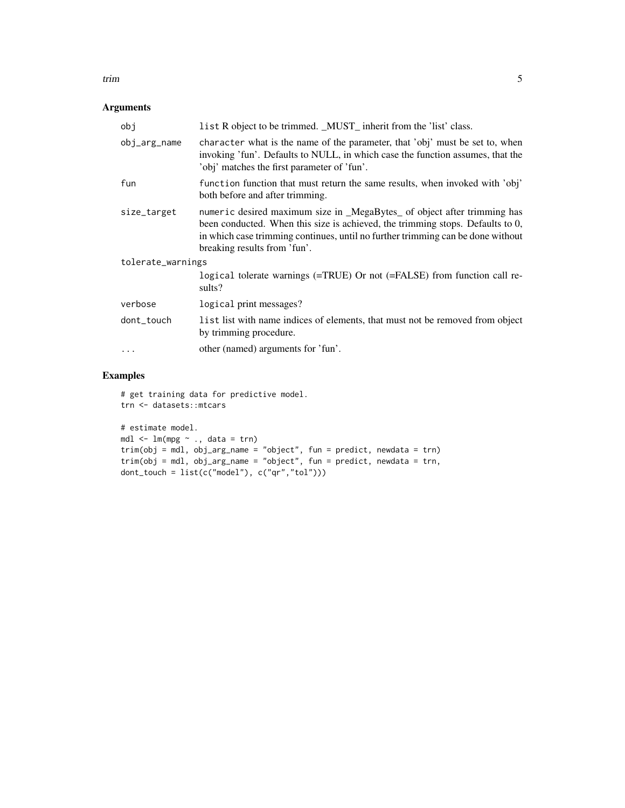# trim the state of the state of the state of the state of the state of the state of the state of the state of the state of the state of the state of the state of the state of the state of the state of the state of the state

# Arguments

| obj               | list R object to be trimmed. _MUST_ inherit from the 'list' class.                                                                                                                                                                                                            |  |
|-------------------|-------------------------------------------------------------------------------------------------------------------------------------------------------------------------------------------------------------------------------------------------------------------------------|--|
| obj_arg_name      | character what is the name of the parameter, that 'obj' must be set to, when<br>invoking 'fun'. Defaults to NULL, in which case the function assumes, that the<br>'obj' matches the first parameter of 'fun'.                                                                 |  |
| fun               | function function that must return the same results, when invoked with 'obj'<br>both before and after trimming.                                                                                                                                                               |  |
| size_target       | numeric desired maximum size in _MegaBytes_ of object after trimming has<br>been conducted. When this size is achieved, the trimming stops. Defaults to 0,<br>in which case trimming continues, until no further trimming can be done without<br>breaking results from 'fun'. |  |
| tolerate_warnings |                                                                                                                                                                                                                                                                               |  |
|                   | logical tolerate warnings (=TRUE) Or not (=FALSE) from function call re-<br>sults?                                                                                                                                                                                            |  |
| verbose           | logical print messages?                                                                                                                                                                                                                                                       |  |
| dont_touch        | list list with name indices of elements, that must not be removed from object<br>by trimming procedure.                                                                                                                                                                       |  |
| $\ddotsc$         | other (named) arguments for 'fun'.                                                                                                                                                                                                                                            |  |

# Examples

# get training data for predictive model. trn <- datasets::mtcars # estimate model.

```
mdl \leq -\ln(\text{mpg} \sim ., \text{data} = \text{trn})trim(obj = mdl, obj_arg_name = "object", fun = predict, newdata = trn)
trim(obj = mdl, obj_arg_name = "object", fun = predict, newdata = trn,
dont_touch = list(c("model"), c("qr","tol")))
```